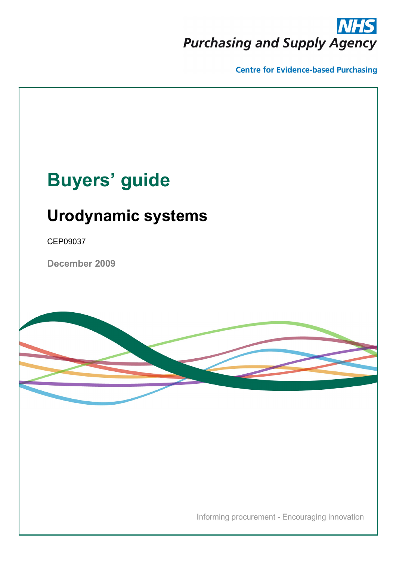# **Purchasing and Supply Agency**

**Centre for Evidence-based Purchasing** 

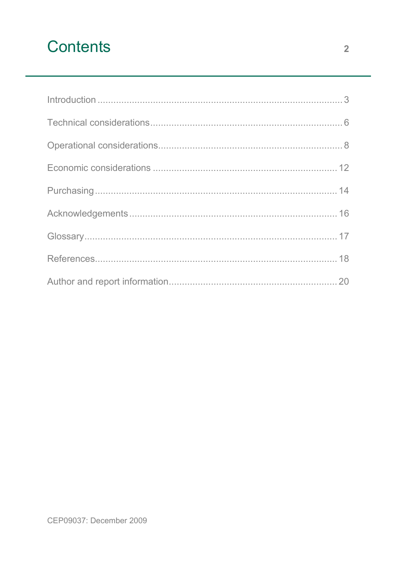# **Contents**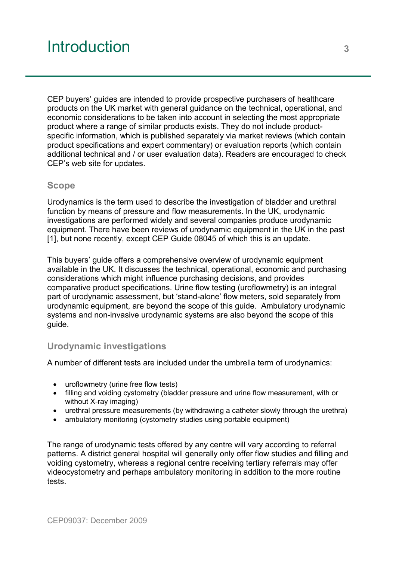# <span id="page-2-0"></span>Introduction 3

CEP buyers' guides are intended to provide prospective purchasers of healthcare products on the UK market with general guidance on the technical, operational, and economic considerations to be taken into account in selecting the most appropriate product where a range of similar products exists. They do not include productspecific information, which is published separately via market reviews (which contain product specifications and expert commentary) or evaluation reports (which contain additional technical and / or user evaluation data). Readers are encouraged to check CEP's web site for updates.

#### **Scope**

Urodynamics is the term used to describe the investigation of bladder and urethral function by means of pressure and flow measurements. In the UK, urodynamic investigations are performed widely and several companies produce urodynamic equipment. There have been reviews of urodynamic equipment in the UK in the past [1], but none recently, except CEP Guide 08045 of which this is an update.

This buyers' guide offers a comprehensive overview of urodynamic equipment available in the UK. It discusses the technical, operational, economic and purchasing considerations which might influence purchasing decisions, and provides comparative product specifications. Urine flow testing (uroflowmetry) is an integral part of urodynamic assessment, but 'stand-alone' flow meters, sold separately from urodynamic equipment, are beyond the scope of this guide. Ambulatory urodynamic systems and non-invasive urodynamic systems are also beyond the scope of this guide.

#### **Urodynamic investigations**

A number of different tests are included under the umbrella term of urodynamics:

- uroflowmetry (urine free flow tests)
- filling and voiding cystometry (bladder pressure and urine flow measurement, with or without X-ray imaging)
- urethral pressure measurements (by withdrawing a catheter slowly through the urethra)
- ambulatory monitoring (cystometry studies using portable equipment)

The range of urodynamic tests offered by any centre will vary according to referral patterns. A district general hospital will generally only offer flow studies and filling and voiding cystometry, whereas a regional centre receiving tertiary referrals may offer videocystometry and perhaps ambulatory monitoring in addition to the more routine tests.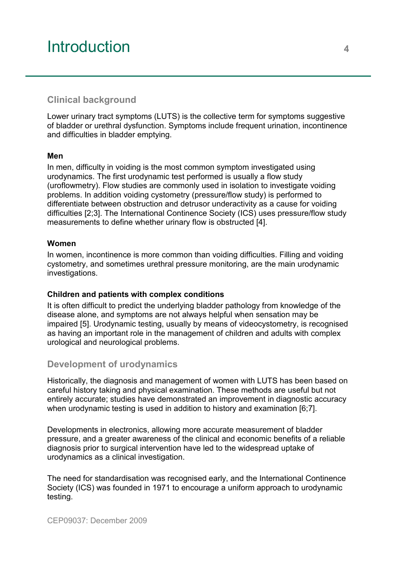## Introduction **<sup>4</sup>**

#### **Clinical background**

Lower urinary tract symptoms (LUTS) is the collective term for symptoms suggestive of bladder or urethral dysfunction. Symptoms include frequent urination, incontinence and difficulties in bladder emptying.

#### **Men**

In men, difficulty in voiding is the most common symptom investigated using urodynamics. The first urodynamic test performed is usually a flow study (uroflowmetry). Flow studies are commonly used in isolation to investigate voiding problems. In addition voiding cystometry (pressure/flow study) is performed to differentiate between obstruction and detrusor underactivity as a cause for voiding difficulties [2;3]. The International Continence Society (ICS) uses pressure/flow study measurements to define whether urinary flow is obstructed [4].

#### **Women**

In women, incontinence is more common than voiding difficulties. Filling and voiding cystometry, and sometimes urethral pressure monitoring, are the main urodynamic investigations.

#### **Children and patients with complex conditions**

It is often difficult to predict the underlying bladder pathology from knowledge of the disease alone, and symptoms are not always helpful when sensation may be impaired [5]. Urodynamic testing, usually by means of videocystometry, is recognised as having an important role in the management of children and adults with complex urological and neurological problems.

#### **Development of urodynamics**

Historically, the diagnosis and management of women with LUTS has been based on careful history taking and physical examination. These methods are useful but not entirely accurate; studies have demonstrated an improvement in diagnostic accuracy when urodynamic testing is used in addition to history and examination [6;7].

Developments in electronics, allowing more accurate measurement of bladder pressure, and a greater awareness of the clinical and economic benefits of a reliable diagnosis prior to surgical intervention have led to the widespread uptake of urodynamics as a clinical investigation.

The need for standardisation was recognised early, and the International Continence Society (ICS) was founded in 1971 to encourage a uniform approach to urodynamic testing.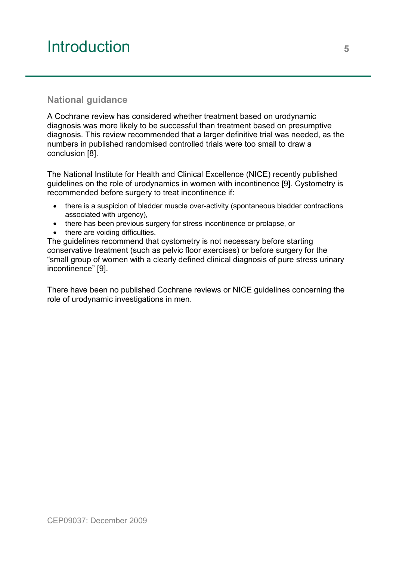# Introduction **<sup>5</sup>**

#### **National guidance**

A Cochrane review has considered whether treatment based on urodynamic diagnosis was more likely to be successful than treatment based on presumptive diagnosis. This review recommended that a larger definitive trial was needed, as the numbers in published randomised controlled trials were too small to draw a conclusion [8].

The National Institute for Health and Clinical Excellence (NICE) recently published guidelines on the role of urodynamics in women with incontinence [9]. Cystometry is recommended before surgery to treat incontinence if:

- there is a suspicion of bladder muscle over-activity (spontaneous bladder contractions associated with urgency),
- there has been previous surgery for stress incontinence or prolapse, or
- there are voiding difficulties.

The guidelines recommend that cystometry is not necessary before starting conservative treatment (such as pelvic floor exercises) or before surgery for the "small group of women with a clearly defined clinical diagnosis of pure stress urinary incontinence" [9].

There have been no published Cochrane reviews or NICE guidelines concerning the role of urodynamic investigations in men.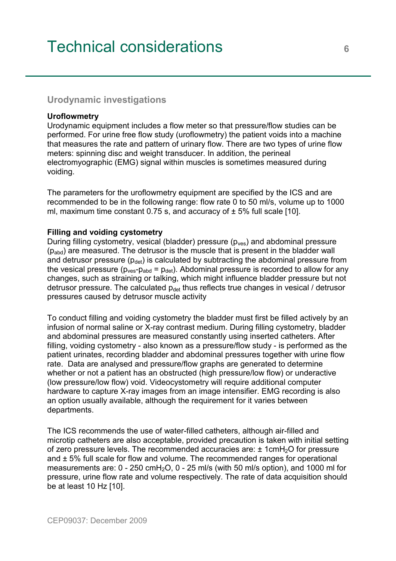#### <span id="page-5-0"></span>**Urodynamic investigations**

#### **Uroflowmetry**

Urodynamic equipment includes a flow meter so that pressure/flow studies can be performed. For urine free flow study (uroflowmetry) the patient voids into a machine that measures the rate and pattern of urinary flow. There are two types of urine flow meters: spinning disc and weight transducer. In addition, the perineal electromyographic (EMG) signal within muscles is sometimes measured during voiding.

The parameters for the uroflowmetry equipment are specified by the ICS and are recommended to be in the following range: flow rate 0 to 50 ml/s, volume up to 1000 ml, maximum time constant  $0.75$  s, and accuracy of  $\pm 5\%$  full scale [10].

#### **Filling and voiding cystometry**

During filling cystometry, vesical (bladder) pressure  $(p_{ves})$  and abdominal pressure  $(p_{abd})$  are measured. The detrusor is the muscle that is present in the bladder wall and detrusor pressure ( $p_{det}$ ) is calculated by subtracting the abdominal pressure from the vesical pressure ( $p_{ves}$ - $p_{abd}$  =  $p_{det}$ ). Abdominal pressure is recorded to allow for any changes, such as straining or talking, which might influence bladder pressure but not detrusor pressure. The calculated  $p_{det}$  thus reflects true changes in vesical / detrusor pressures caused by detrusor muscle activity

To conduct filling and voiding cystometry the bladder must first be filled actively by an infusion of normal saline or X-ray contrast medium. During filling cystometry, bladder and abdominal pressures are measured constantly using inserted catheters. After filling, voiding cystometry - also known as a pressure/flow study - is performed as the patient urinates, recording bladder and abdominal pressures together with urine flow rate. Data are analysed and pressure/flow graphs are generated to determine whether or not a patient has an obstructed (high pressure/low flow) or underactive (low pressure/low flow) void. Videocystometry will require additional computer hardware to capture X-ray images from an image intensifier. EMG recording is also an option usually available, although the requirement for it varies between departments.

The ICS recommends the use of water-filled catheters, although air-filled and microtip catheters are also acceptable, provided precaution is taken with initial setting of zero pressure levels. The recommended accuracies are: ± 1cmH2O for pressure and ± 5% full scale for flow and volume. The recommended ranges for operational measurements are:  $0 - 250$  cmH<sub>2</sub>O,  $0 - 25$  ml/s (with 50 ml/s option), and 1000 ml for pressure, urine flow rate and volume respectively. The rate of data acquisition should be at least 10 Hz [10].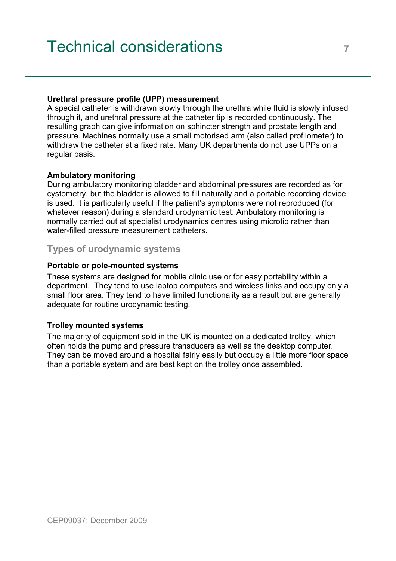#### **Urethral pressure profile (UPP) measurement**

A special catheter is withdrawn slowly through the urethra while fluid is slowly infused through it, and urethral pressure at the catheter tip is recorded continuously. The resulting graph can give information on sphincter strength and prostate length and pressure. Machines normally use a small motorised arm (also called profilometer) to withdraw the catheter at a fixed rate. Many UK departments do not use UPPs on a regular basis.

#### **Ambulatory monitoring**

During ambulatory monitoring bladder and abdominal pressures are recorded as for cystometry, but the bladder is allowed to fill naturally and a portable recording device is used. It is particularly useful if the patient's symptoms were not reproduced (for whatever reason) during a standard urodynamic test. Ambulatory monitoring is normally carried out at specialist urodynamics centres using microtip rather than water-filled pressure measurement catheters.

#### **Types of urodynamic systems**

#### **Portable or pole-mounted systems**

These systems are designed for mobile clinic use or for easy portability within a department. They tend to use laptop computers and wireless links and occupy only a small floor area. They tend to have limited functionality as a result but are generally adequate for routine urodynamic testing.

#### **Trolley mounted systems**

The majority of equipment sold in the UK is mounted on a dedicated trolley, which often holds the pump and pressure transducers as well as the desktop computer. They can be moved around a hospital fairly easily but occupy a little more floor space than a portable system and are best kept on the trolley once assembled.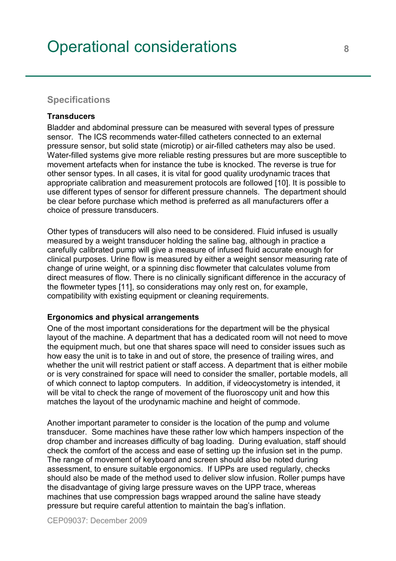#### <span id="page-7-0"></span>**Specifications**

#### **Transducers**

Bladder and abdominal pressure can be measured with several types of pressure sensor. The ICS recommends water-filled catheters connected to an external pressure sensor, but solid state (microtip) or air-filled catheters may also be used. Water-filled systems give more reliable resting pressures but are more susceptible to movement artefacts when for instance the tube is knocked. The reverse is true for other sensor types. In all cases, it is vital for good quality urodynamic traces that appropriate calibration and measurement protocols are followed [10]. It is possible to use different types of sensor for different pressure channels. The department should be clear before purchase which method is preferred as all manufacturers offer a choice of pressure transducers.

Other types of transducers will also need to be considered. Fluid infused is usually measured by a weight transducer holding the saline bag, although in practice a carefully calibrated pump will give a measure of infused fluid accurate enough for clinical purposes. Urine flow is measured by either a weight sensor measuring rate of change of urine weight, or a spinning disc flowmeter that calculates volume from direct measures of flow. There is no clinically significant difference in the accuracy of the flowmeter types [11], so considerations may only rest on, for example, compatibility with existing equipment or cleaning requirements.

#### **Ergonomics and physical arrangements**

One of the most important considerations for the department will be the physical layout of the machine. A department that has a dedicated room will not need to move the equipment much, but one that shares space will need to consider issues such as how easy the unit is to take in and out of store, the presence of trailing wires, and whether the unit will restrict patient or staff access. A department that is either mobile or is very constrained for space will need to consider the smaller, portable models, all of which connect to laptop computers. In addition, if videocystometry is intended, it will be vital to check the range of movement of the fluoroscopy unit and how this matches the layout of the urodynamic machine and height of commode.

Another important parameter to consider is the location of the pump and volume transducer. Some machines have these rather low which hampers inspection of the drop chamber and increases difficulty of bag loading. During evaluation, staff should check the comfort of the access and ease of setting up the infusion set in the pump. The range of movement of keyboard and screen should also be noted during assessment, to ensure suitable ergonomics. If UPPs are used regularly, checks should also be made of the method used to deliver slow infusion. Roller pumps have the disadvantage of giving large pressure waves on the UPP trace, whereas machines that use compression bags wrapped around the saline have steady pressure but require careful attention to maintain the bag's inflation.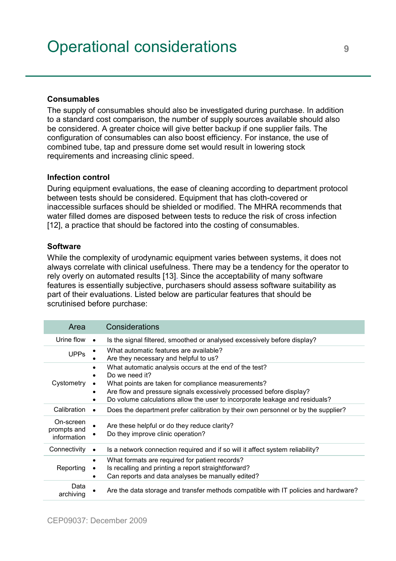#### **Consumables**

The supply of consumables should also be investigated during purchase. In addition to a standard cost comparison, the number of supply sources available should also be considered. A greater choice will give better backup if one supplier fails. The configuration of consumables can also boost efficiency. For instance, the use of combined tube, tap and pressure dome set would result in lowering stock requirements and increasing clinic speed.

#### **Infection control**

During equipment evaluations, the ease of cleaning according to department protocol between tests should be considered. Equipment that has cloth-covered or inaccessible surfaces should be shielded or modified. The MHRA recommends that water filled domes are disposed between tests to reduce the risk of cross infection [12], a practice that should be factored into the costing of consumables.

#### **Software**

While the complexity of urodynamic equipment varies between systems, it does not always correlate with clinical usefulness. There may be a tendency for the operator to rely overly on automated results [13]. Since the acceptability of many software features is essentially subjective, purchasers should assess software suitability as part of their evaluations. Listed below are particular features that should be scrutinised before purchase:

| Area                                    |                        | Considerations                                                                                                                                                                                                                                                                       |
|-----------------------------------------|------------------------|--------------------------------------------------------------------------------------------------------------------------------------------------------------------------------------------------------------------------------------------------------------------------------------|
| Urine flow                              | $\bullet$              | Is the signal filtered, smoothed or analysed excessively before display?                                                                                                                                                                                                             |
| <b>UPPs</b>                             |                        | What automatic features are available?<br>Are they necessary and helpful to us?                                                                                                                                                                                                      |
| Cystometry                              | $\bullet$              | What automatic analysis occurs at the end of the test?<br>Do we need it?<br>What points are taken for compliance measurements?<br>Are flow and pressure signals excessively processed before display?<br>Do volume calculations allow the user to incorporate leakage and residuals? |
| Calibration                             | $\bullet$              | Does the department prefer calibration by their own personnel or by the supplier?                                                                                                                                                                                                    |
| On-screen<br>prompts and<br>information |                        | Are these helpful or do they reduce clarity?<br>Do they improve clinic operation?                                                                                                                                                                                                    |
| Connectivity                            | $\bullet$              | Is a network connection required and if so will it affect system reliability?                                                                                                                                                                                                        |
| Reporting                               | $\bullet$<br>$\bullet$ | What formats are required for patient records?<br>Is recalling and printing a report straightforward?<br>Can reports and data analyses be manually edited?                                                                                                                           |
| Data<br>archiving                       |                        | Are the data storage and transfer methods compatible with IT policies and hardware?                                                                                                                                                                                                  |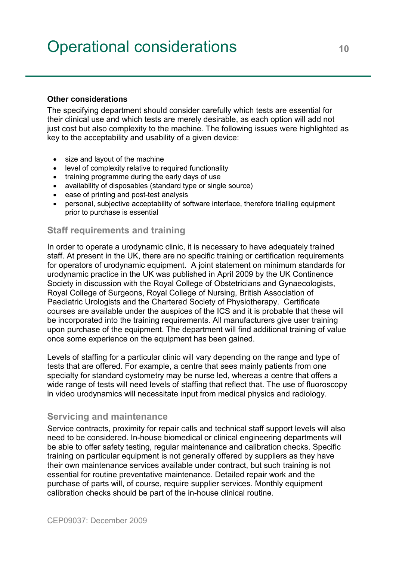#### **Other considerations**

The specifying department should consider carefully which tests are essential for their clinical use and which tests are merely desirable, as each option will add not just cost but also complexity to the machine. The following issues were highlighted as key to the acceptability and usability of a given device:

- size and layout of the machine
- level of complexity relative to required functionality
- training programme during the early days of use
- availability of disposables (standard type or single source)
- ease of printing and post-test analysis
- personal, subjective acceptability of software interface, therefore trialling equipment prior to purchase is essential

#### **Staff requirements and training**

In order to operate a urodynamic clinic, it is necessary to have adequately trained staff. At present in the UK, there are no specific training or certification requirements for operators of urodynamic equipment. A joint statement on minimum standards for urodynamic practice in the UK was published in April 2009 by the UK Continence Society in discussion with the Royal College of Obstetricians and Gynaecologists, Royal College of Surgeons, Royal College of Nursing, British Association of Paediatric Urologists and the Chartered Society of Physiotherapy. Certificate courses are available under the auspices of the ICS and it is probable that these will be incorporated into the training requirements. All manufacturers give user training upon purchase of the equipment. The department will find additional training of value once some experience on the equipment has been gained.

Levels of staffing for a particular clinic will vary depending on the range and type of tests that are offered. For example, a centre that sees mainly patients from one specialty for standard cystometry may be nurse led, whereas a centre that offers a wide range of tests will need levels of staffing that reflect that. The use of fluoroscopy in video urodynamics will necessitate input from medical physics and radiology.

#### **Servicing and maintenance**

Service contracts, proximity for repair calls and technical staff support levels will also need to be considered. In-house biomedical or clinical engineering departments will be able to offer safety testing, regular maintenance and calibration checks. Specific training on particular equipment is not generally offered by suppliers as they have their own maintenance services available under contract, but such training is not essential for routine preventative maintenance. Detailed repair work and the purchase of parts will, of course, require supplier services. Monthly equipment calibration checks should be part of the in-house clinical routine.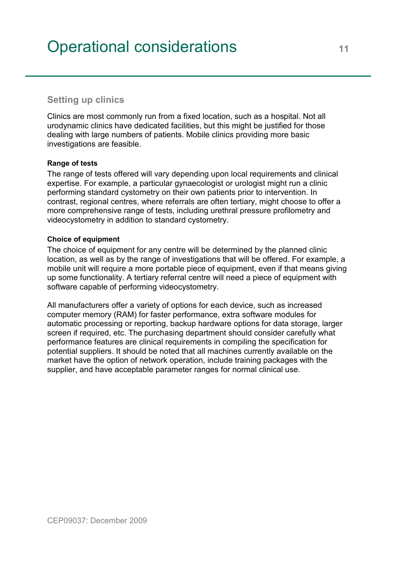#### **Setting up clinics**

Clinics are most commonly run from a fixed location, such as a hospital. Not all urodynamic clinics have dedicated facilities, but this might be justified for those dealing with large numbers of patients. Mobile clinics providing more basic investigations are feasible.

#### **Range of tests**

The range of tests offered will vary depending upon local requirements and clinical expertise. For example, a particular gynaecologist or urologist might run a clinic performing standard cystometry on their own patients prior to intervention. In contrast, regional centres, where referrals are often tertiary, might choose to offer a more comprehensive range of tests, including urethral pressure profilometry and videocystometry in addition to standard cystometry.

#### **Choice of equipment**

The choice of equipment for any centre will be determined by the planned clinic location, as well as by the range of investigations that will be offered. For example, a mobile unit will require a more portable piece of equipment, even if that means giving up some functionality. A tertiary referral centre will need a piece of equipment with software capable of performing videocystometry.

All manufacturers offer a variety of options for each device, such as increased computer memory (RAM) for faster performance, extra software modules for automatic processing or reporting, backup hardware options for data storage, larger screen if required, etc. The purchasing department should consider carefully what performance features are clinical requirements in compiling the specification for potential suppliers. It should be noted that all machines currently available on the market have the option of network operation, include training packages with the supplier, and have acceptable parameter ranges for normal clinical use.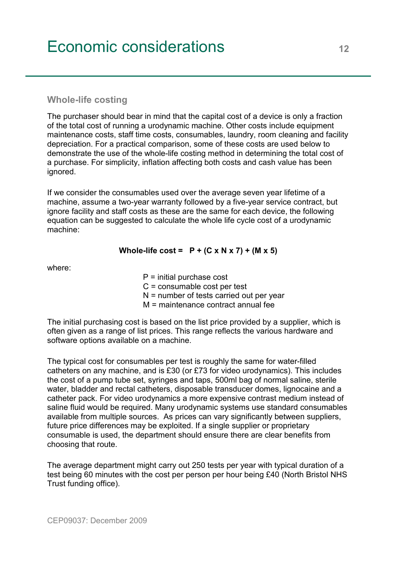#### <span id="page-11-0"></span>**Whole-life costing**

The purchaser should bear in mind that the capital cost of a device is only a fraction of the total cost of running a urodynamic machine. Other costs include equipment maintenance costs, staff time costs, consumables, laundry, room cleaning and facility depreciation. For a practical comparison, some of these costs are used below to demonstrate the use of the whole-life costing method in determining the total cost of a purchase. For simplicity, inflation affecting both costs and cash value has been ignored.

If we consider the consumables used over the average seven year lifetime of a machine, assume a two-year warranty followed by a five-year service contract, but ignore facility and staff costs as these are the same for each device, the following equation can be suggested to calculate the whole life cycle cost of a urodynamic machine:

#### **Whole-life cost = P + (C x N x 7) + (M x 5)**

where:

 P = initial purchase cost C = consumable cost per test N = number of tests carried out per year M = maintenance contract annual fee

The initial purchasing cost is based on the list price provided by a supplier, which is often given as a range of list prices. This range reflects the various hardware and software options available on a machine.

The typical cost for consumables per test is roughly the same for water-filled catheters on any machine, and is £30 (or £73 for video urodynamics). This includes the cost of a pump tube set, syringes and taps, 500ml bag of normal saline, sterile water, bladder and rectal catheters, disposable transducer domes, lignocaine and a catheter pack. For video urodynamics a more expensive contrast medium instead of saline fluid would be required. Many urodynamic systems use standard consumables available from multiple sources. As prices can vary significantly between suppliers, future price differences may be exploited. If a single supplier or proprietary consumable is used, the department should ensure there are clear benefits from choosing that route.

The average department might carry out 250 tests per year with typical duration of a test being 60 minutes with the cost per person per hour being £40 (North Bristol NHS Trust funding office).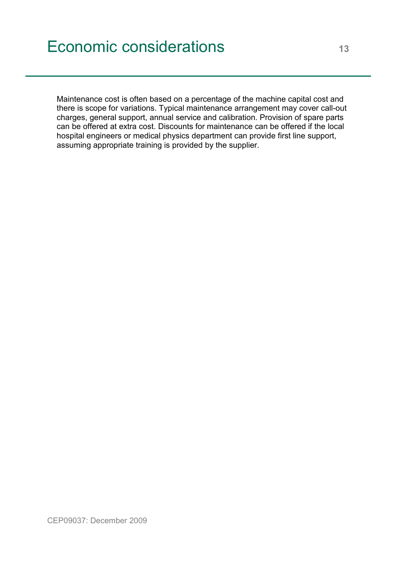Maintenance cost is often based on a percentage of the machine capital cost and there is scope for variations. Typical maintenance arrangement may cover call-out charges, general support, annual service and calibration. Provision of spare parts can be offered at extra cost. Discounts for maintenance can be offered if the local hospital engineers or medical physics department can provide first line support, assuming appropriate training is provided by the supplier.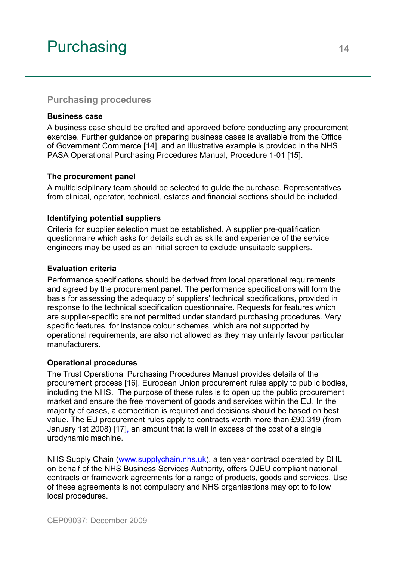# <span id="page-13-0"></span>Purchasing 14

#### **Purchasing procedures**

#### **Business case**

A business case should be drafted and approved before conducting any procurement exercise. Further guidance on preparing business cases is available from the Office of Government Commerce [14], and an illustrative example is provided in the NHS PASA Operational Purchasing Procedures Manual, Procedure 1-01 [15].

#### **The procurement panel**

A multidisciplinary team should be selected to guide the purchase. Representatives from clinical, operator, technical, estates and financial sections should be included.

#### **Identifying potential suppliers**

Criteria for supplier selection must be established. A supplier pre-qualification questionnaire which asks for details such as skills and experience of the service engineers may be used as an initial screen to exclude unsuitable suppliers.

#### **Evaluation criteria**

Performance specifications should be derived from local operational requirements and agreed by the procurement panel. The performance specifications will form the basis for assessing the adequacy of suppliers' technical specifications, provided in response to the technical specification questionnaire. Requests for features which are supplier-specific are not permitted under standard purchasing procedures. Very specific features, for instance colour schemes, which are not supported by operational requirements, are also not allowed as they may unfairly favour particular manufacturers.

#### **Operational procedures**

The Trust Operational Purchasing Procedures Manual provides details of the procurement process [16]. European Union procurement rules apply to public bodies, including the NHS. The purpose of these rules is to open up the public procurement market and ensure the free movement of goods and services within the EU. In the majority of cases, a competition is required and decisions should be based on best value. The EU procurement rules apply to contracts worth more than £90,319 (from January 1st 2008) [17], an amount that is well in excess of the cost of a single urodynamic machine.

NHS Supply Chain (www.supplychain.nhs.uk), a ten year contract operated by DHL on behalf of the NHS Business Services Authority, offers OJEU compliant national contracts or framework agreements for a range of products, goods and services. Use of these agreements is not compulsory and NHS organisations may opt to follow local procedures.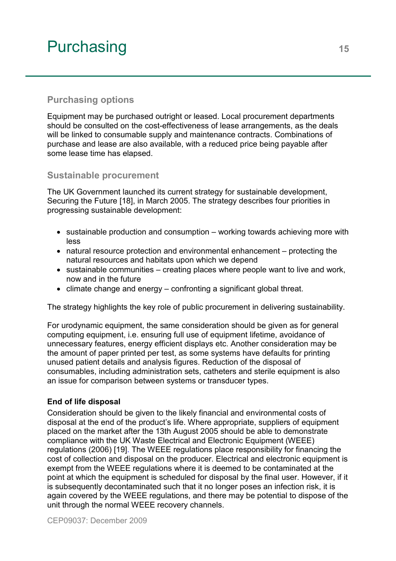# Purchasing 15

#### **Purchasing options**

Equipment may be purchased outright or leased. Local procurement departments should be consulted on the cost-effectiveness of lease arrangements, as the deals will be linked to consumable supply and maintenance contracts. Combinations of purchase and lease are also available, with a reduced price being payable after some lease time has elapsed.

#### **Sustainable procurement**

The UK Government launched its current strategy for sustainable development, Securing the Future [18], in March 2005. The strategy describes four priorities in progressing sustainable development:

- sustainable production and consumption working towards achieving more with less
- natural resource protection and environmental enhancement protecting the natural resources and habitats upon which we depend
- sustainable communities creating places where people want to live and work, now and in the future
- climate change and energy confronting a significant global threat.

The strategy highlights the key role of public procurement in delivering sustainability.

For urodynamic equipment, the same consideration should be given as for general computing equipment, i.e. ensuring full use of equipment lifetime, avoidance of unnecessary features, energy efficient displays etc. Another consideration may be the amount of paper printed per test, as some systems have defaults for printing unused patient details and analysis figures. Reduction of the disposal of consumables, including administration sets, catheters and sterile equipment is also an issue for comparison between systems or transducer types.

#### **End of life disposal**

Consideration should be given to the likely financial and environmental costs of disposal at the end of the product's life. Where appropriate, suppliers of equipment placed on the market after the 13th August 2005 should be able to demonstrate compliance with the UK Waste Electrical and Electronic Equipment (WEEE) regulations (2006) [19]. The WEEE regulations place responsibility for financing the cost of collection and disposal on the producer. Electrical and electronic equipment is exempt from the WEEE regulations where it is deemed to be contaminated at the point at which the equipment is scheduled for disposal by the final user. However, if it is subsequently decontaminated such that it no longer poses an infection risk, it is again covered by the WEEE regulations, and there may be potential to dispose of the unit through the normal WEEE recovery channels.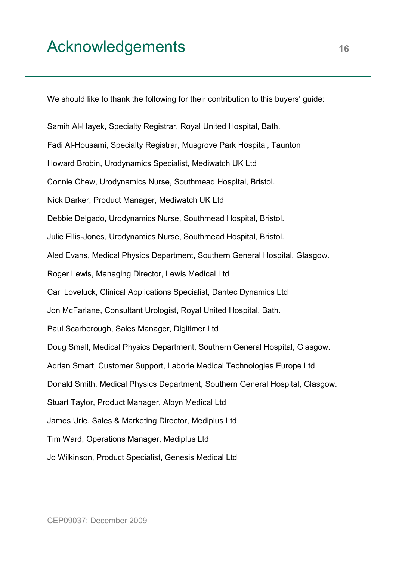# <span id="page-15-0"></span>Acknowledgements 16

We should like to thank the following for their contribution to this buyers' guide:

Samih Al-Hayek, Specialty Registrar, Royal United Hospital, Bath. Fadi Al-Housami, Specialty Registrar, Musgrove Park Hospital, Taunton Howard Brobin, Urodynamics Specialist, Mediwatch UK Ltd Connie Chew, Urodynamics Nurse, Southmead Hospital, Bristol. Nick Darker, Product Manager, Mediwatch UK Ltd Debbie Delgado, Urodynamics Nurse, Southmead Hospital, Bristol. Julie Ellis-Jones, Urodynamics Nurse, Southmead Hospital, Bristol. Aled Evans, Medical Physics Department, Southern General Hospital, Glasgow. Roger Lewis, Managing Director, Lewis Medical Ltd Carl Loveluck, Clinical Applications Specialist, Dantec Dynamics Ltd Jon McFarlane, Consultant Urologist, Royal United Hospital, Bath. Paul Scarborough, Sales Manager, Digitimer Ltd Doug Small, Medical Physics Department, Southern General Hospital, Glasgow. Adrian Smart, Customer Support, Laborie Medical Technologies Europe Ltd Donald Smith, Medical Physics Department, Southern General Hospital, Glasgow. Stuart Taylor, Product Manager, Albyn Medical Ltd James Urie, Sales & Marketing Director, Mediplus Ltd Tim Ward, Operations Manager, Mediplus Ltd Jo Wilkinson, Product Specialist, Genesis Medical Ltd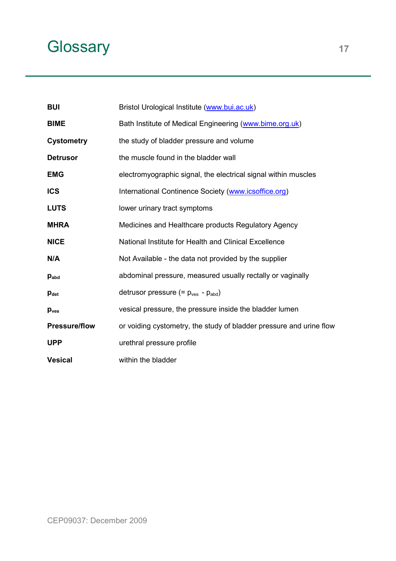<span id="page-16-0"></span>

| <b>BUI</b>           | Bristol Urological Institute (www.bui.ac.uk)                        |
|----------------------|---------------------------------------------------------------------|
| <b>BIME</b>          | Bath Institute of Medical Engineering (www.bime.org.uk)             |
| <b>Cystometry</b>    | the study of bladder pressure and volume                            |
| <b>Detrusor</b>      | the muscle found in the bladder wall                                |
| <b>EMG</b>           | electromyographic signal, the electrical signal within muscles      |
| <b>ICS</b>           | International Continence Society (www.icsoffice.org)                |
| <b>LUTS</b>          | lower urinary tract symptoms                                        |
| <b>MHRA</b>          | Medicines and Healthcare products Regulatory Agency                 |
| <b>NICE</b>          | National Institute for Health and Clinical Excellence               |
| N/A                  | Not Available - the data not provided by the supplier               |
| $p_{abd}$            | abdominal pressure, measured usually rectally or vaginally          |
| Pdet                 | detrusor pressure $(= p_{\text{ves}} - p_{\text{abd}})$             |
| $p_{\text{ves}}$     | vesical pressure, the pressure inside the bladder lumen             |
| <b>Pressure/flow</b> | or voiding cystometry, the study of bladder pressure and urine flow |
| <b>UPP</b>           | urethral pressure profile                                           |
| <b>Vesical</b>       | within the bladder                                                  |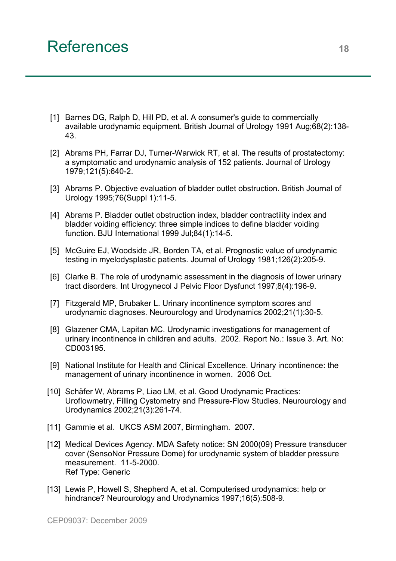## <span id="page-17-0"></span>References 18

- [1] Barnes DG, Ralph D, Hill PD, et al. A consumer's guide to commercially available urodynamic equipment. British Journal of Urology 1991 Aug;68(2):138- 43.
- [2] Abrams PH, Farrar DJ, Turner-Warwick RT, et al. The results of prostatectomy: a symptomatic and urodynamic analysis of 152 patients. Journal of Urology 1979;121(5):640-2.
- [3] Abrams P. Objective evaluation of bladder outlet obstruction. British Journal of Urology 1995;76(Suppl 1):11-5.
- [4] Abrams P. Bladder outlet obstruction index, bladder contractility index and bladder voiding efficiency: three simple indices to define bladder voiding function. BJU International 1999 Jul;84(1):14-5.
- [5] McGuire EJ, Woodside JR, Borden TA, et al. Prognostic value of urodynamic testing in myelodysplastic patients. Journal of Urology 1981;126(2):205-9.
- [6] Clarke B. The role of urodynamic assessment in the diagnosis of lower urinary tract disorders. Int Urogynecol J Pelvic Floor Dysfunct 1997;8(4):196-9.
- [7] Fitzgerald MP, Brubaker L. Urinary incontinence symptom scores and urodynamic diagnoses. Neurourology and Urodynamics 2002;21(1):30-5.
- [8] Glazener CMA, Lapitan MC. Urodynamic investigations for management of urinary incontinence in children and adults. 2002. Report No.: Issue 3. Art. No: CD003195.
- [9] National Institute for Health and Clinical Excellence. Urinary incontinence: the management of urinary incontinence in women. 2006 Oct.
- [10] Schäfer W, Abrams P, Liao LM, et al. Good Urodynamic Practices: Uroflowmetry, Filling Cystometry and Pressure-Flow Studies. Neurourology and Urodynamics 2002;21(3):261-74.
- [11] Gammie et al. UKCS ASM 2007, Birmingham. 2007.
- [12] Medical Devices Agency. MDA Safety notice: SN 2000(09) Pressure transducer cover (SensoNor Pressure Dome) for urodynamic system of bladder pressure measurement. 11-5-2000. Ref Type: Generic
- [13] Lewis P, Howell S, Shepherd A, et al. Computerised urodynamics: help or hindrance? Neurourology and Urodynamics 1997;16(5):508-9.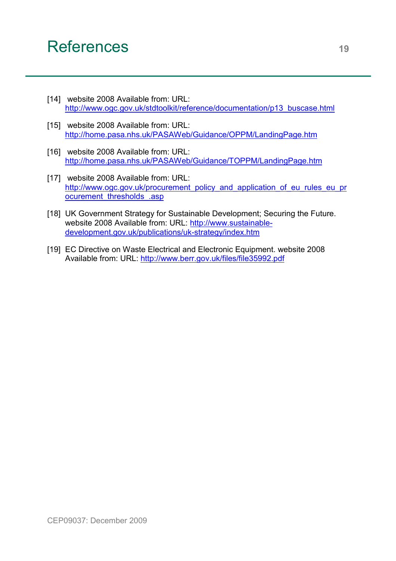# References 19

- [14] website 2008 Available from: URL: [http://www.ogc.gov.uk/stdtoolkit/reference/documentation/p13\\_buscase.html](http://www.ogc.gov.uk/documentation_and_templates_business_case.asp)
- [15] website 2008 Available from: URL: http://home.pasa.nhs.uk/PASAWeb/Guidance/OPPM/LandingPage.htm
- [16] website 2008 Available from: URL: http://home.pasa.nhs.uk/PASAWeb/Guidance/TOPPM/LandingPage.htm
- [17] website 2008 Available from: URL: [http://www.ogc.gov.uk/procurement\\_policy\\_and\\_application\\_of\\_eu\\_rules\\_eu\\_pr](http://www.ogc.gov.uk/procurement_policy_and_practice_procurement_policy_and_application_of_eu_rules.asp) ocurement\_thresholds\_.asp
- [18] UK Government Strategy for Sustainable Development; Securing the Future. website 2008 Available from: URL: http://www.sustainable[development.gov.uk/publications/uk-strategy/index.htm](http://www.defra.gov.uk/sustainable/government/publications/index.htm)
- [19] EC Directive on Waste Electrical and Electronic Equipment. website 2008 Available from: URL: http://www.berr.gov.uk/files/file35992.pdf